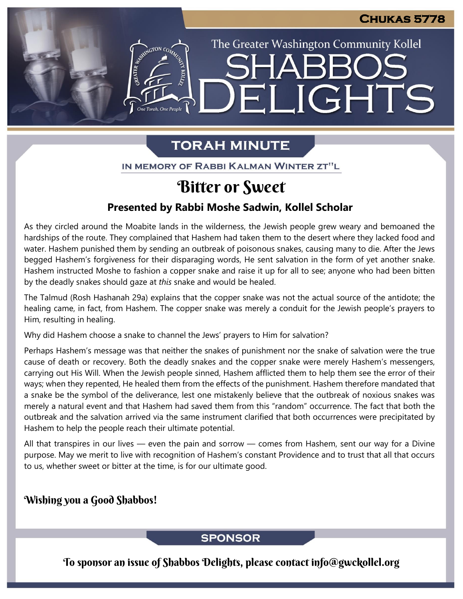The Greater Washington Community Kollel

ELIGHTS

# **TORAH MINUTE**

IN MEMORY OF RABBI KALMAN WINTER ZT"L

# Bitter or Sweet

## **Presented by Rabbi Moshe Sadwin, Kollel Scholar**

As they circled around the Moabite lands in the wilderness, the Jewish people grew weary and bemoaned the hardships of the route. They complained that Hashem had taken them to the desert where they lacked food and water. Hashem punished them by sending an outbreak of poisonous snakes, causing many to die. After the Jews begged Hashem's forgiveness for their disparaging words, He sent salvation in the form of yet another snake. Hashem instructed Moshe to fashion a copper snake and raise it up for all to see; anyone who had been bitten by the deadly snakes should gaze at *this* snake and would be healed.

The Talmud (Rosh Hashanah 29a) explains that the copper snake was not the actual source of the antidote; the healing came, in fact, from Hashem. The copper snake was merely a conduit for the Jewish people's prayers to Him, resulting in healing.

Why did Hashem choose a snake to channel the Jews' prayers to Him for salvation?

Perhaps Hashem's message was that neither the snakes of punishment nor the snake of salvation were the true cause of death or recovery. Both the deadly snakes and the copper snake were merely Hashem's messengers, carrying out His Will. When the Jewish people sinned, Hashem afflicted them to help them see the error of their ways; when they repented, He healed them from the effects of the punishment. Hashem therefore mandated that a snake be the symbol of the deliverance, lest one mistakenly believe that the outbreak of noxious snakes was merely a natural event and that Hashem had saved them from this "random" occurrence. The fact that both the outbreak and the salvation arrived via the same instrument clarified that both occurrences were precipitated by Hashem to help the people reach their ultimate potential.

All that transpires in our lives — even the pain and sorrow — comes from Hashem, sent our way for a Divine purpose. May we merit to live with recognition of Hashem's constant Providence and to trust that all that occurs to us, whether sweet or bitter at the time, is for our ultimate good.

## Wishing you a Good Shabbos!

## **SPONSOR**

To sponsor an issue of Shabbos Delights, please contact info@gwckollel.org